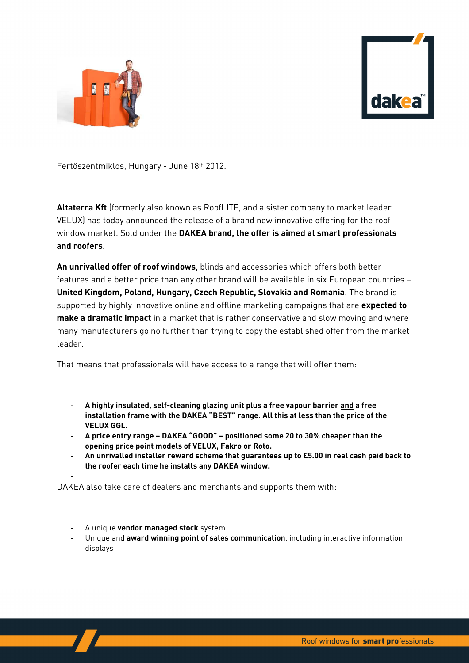



Fertöszentmiklos, Hungary - June 18th 2012.

**Altaterra Kft** (formerly also known as RoofLITE, and a sister company to market leader VELUX) has today announced the release of a brand new innovative offering for the roof window market. Sold under the **DAKEA brand, the offer is aimed at smart professionals and roofers**.

**An unrivalled offer of roof windows**, blinds and accessories which offers both better features and a better price than any other brand will be available in six European countries – **United Kingdom, Poland, Hungary, Czech Republic, Slovakia and Romania**. The brand is supported by highly innovative online and offline marketing campaigns that are **expected to make a dramatic impact** in a market that is rather conservative and slow moving and where many manufacturers go no further than trying to copy the established offer from the market leader.

That means that professionals will have access to a range that will offer them:

- **A highly insulated, self-cleaning glazing unit plus a free vapour barrier and a free installation frame with the DAKEA "BEST" range. All this at less than the price of the VELUX GGL.**
- **A price entry range DAKEA "GOOD" positioned some 20 to 30% cheaper than the opening price point models of VELUX, Fakro or Roto.**
- **An unrivalled installer reward scheme that guarantees up to £5.00 in real cash paid back to the roofer each time he installs any DAKEA window.**

DAKEA also take care of dealers and merchants and supports them with:

- A unique **vendor managed stock** system.

-

- Unique and **award winning point of sales communication**, including interactive information displays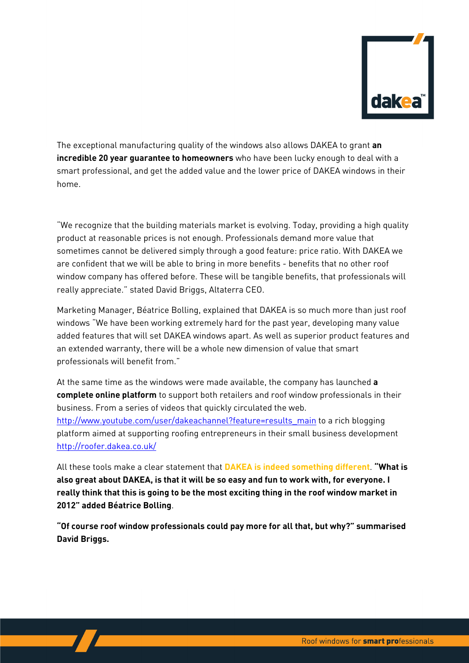

The exceptional manufacturing quality of the windows also allows DAKEA to grant **an incredible 20 year guarantee to homeowners** who have been lucky enough to deal with a smart professional, and get the added value and the lower price of DAKEA windows in their home.

"We recognize that the building materials market is evolving. Today, providing a high quality product at reasonable prices is not enough. Professionals demand more value that sometimes cannot be delivered simply through a good feature: price ratio. With DAKEA we are confident that we will be able to bring in more benefits - benefits that no other roof window company has offered before. These will be tangible benefits, that professionals will really appreciate." stated David Briggs, Altaterra CEO.

Marketing Manager, Béatrice Bolling, explained that DAKEA is so much more than just roof windows "We have been working extremely hard for the past year, developing many value added features that will set DAKEA windows apart. As well as superior product features and an extended warranty, there will be a whole new dimension of value that smart professionals will benefit from."

At the same time as the windows were made available, the company has launched **a complete online platform** to support both retailers and roof window professionals in their business. From a series of videos that quickly circulated the web.

http://www.youtube.com/user/dakeachannel?feature=results\_main to a rich blogging platform aimed at supporting roofing entrepreneurs in their small business development http://roofer.dakea.co.uk/

All these tools make a clear statement that **DAKEA is indeed something different**. **"What is also great about DAKEA, is that it will be so easy and fun to work with, for everyone. I really think that this is going to be the most exciting thing in the roof window market in 2012" added Béatrice Bolling**.

**"Of course roof window professionals could pay more for all that, but why?" summarised David Briggs.**